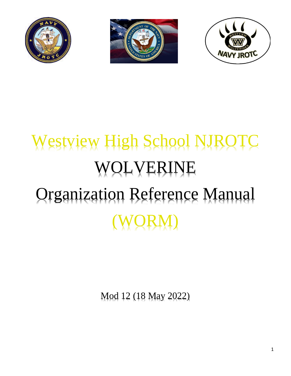





# Westview High School NJROTC WOLVERINE Organization Reference Manual (WORM)

Mod 12 (18 May 2022)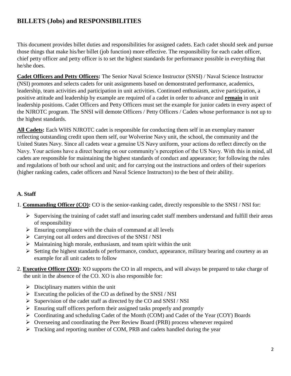## **BILLETS (Jobs) and RESPONSIBILITIES**

This document provides billet duties and responsibilities for assigned cadets. Each cadet should seek and pursue those things that make his/her billet (job function) more effective. The responsibility for each cadet officer, chief petty officer and petty officer is to set the highest standards for performance possible in everything that he/she does.

**Cadet Officers and Petty Officers:** The Senior Naval Science Instructor (SNSI) / Naval Science Instructor (NSI) promotes and selects cadets for unit assignments based on demonstrated performance, academics, leadership, team activities and participation in unit activities. Continued enthusiasm, active participation, a positive attitude and leadership by example are required of a cadet in order to advance and **remain** in unit leadership positions. Cadet Officers and Petty Officers must set the example for junior cadets in every aspect of the NJROTC program. The SNSI will demote Officers / Petty Officers / Cadets whose performance is not up to the highest standards.

**All Cadets:** Each WHS NJROTC cadet is responsible for conducting them self in an exemplary manner reflecting outstanding credit upon them self, our Wolverine Navy unit, the school, the community and the United States Navy. Since all cadets wear a genuine US Navy uniform, your actions do reflect directly on the Navy. Your actions have a direct bearing on our community's perception of the US Navy. With this in mind, all cadets are responsible for maintaining the highest standards of conduct and appearance; for following the rules and regulations of both our school and unit; and for carrying out the instructions and orders of their superiors (higher ranking cadets, cadet officers and Naval Science Instructors) to the best of their ability.

## **A. Staff**

- 1. **Commanding Officer (CO):** CO is the senior-ranking cadet, directly responsible to the SNSI / NSI for:
	- $\triangleright$  Supervising the training of cadet staff and insuring cadet staff members understand and fulfill their areas of responsibility
	- $\triangleright$  Ensuring compliance with the chain of command at all levels
	- $\triangleright$  Carrying out all orders and directives of the SNSI / NSI
	- $\triangleright$  Maintaining high morale, enthusiasm, and team spirit within the unit
	- Setting the highest standards of performance, conduct, appearance, military bearing and courtesy as an example for all unit cadets to follow
- 2. **Executive Officer (XO):** XO supports the CO in all respects, and will always be prepared to take charge of the unit in the absence of the CO. XO is also responsible for:
	- $\triangleright$  Disciplinary matters within the unit
	- $\triangleright$  Executing the policies of the CO as defined by the SNSI / NSI
	- $\triangleright$  Supervision of the cadet staff as directed by the CO and SNSI / NSI
	- $\triangleright$  Ensuring staff officers perform their assigned tasks properly and promptly
	- Coordinating and scheduling Cadet of the Month (COM) and Cadet of the Year (COY) Boards
	- Overseeing and coordinating the Peer Review Board (PRB) process whenever required
	- Tracking and reporting number of COM, PRB and cadets handled during the year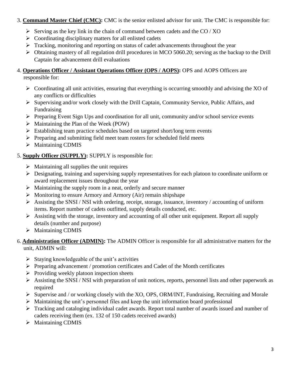## 3. **Command Master Chief (CMC):** CMC is the senior enlisted advisor for unit. The CMC is responsible for:

- $\triangleright$  Serving as the key link in the chain of command between cadets and the CO / XO
- $\triangleright$  Coordinating disciplinary matters for all enlisted cadets
- Tracking, monitoring and reporting on status of cadet advancements throughout the year
- Obtaining mastery of all regulation drill procedures in MCO 5060.20; serving as the backup to the Drill Captain for advancement drill evaluations

## 4. **Operations Officer / Assistant Operations Officer (OPS / AOPS):** OPS and AOPS Officers are responsible for:

- $\triangleright$  Coordinating all unit activities, ensuring that everything is occurring smoothly and advising the XO of any conflicts or difficulties
- $\triangleright$  Supervising and/or work closely with the Drill Captain, Community Service, Public Affairs, and Fundraising
- $\triangleright$  Preparing Event Sign Ups and coordination for all unit, community and/or school service events
- $\triangleright$  Maintaining the Plan of the Week (POW)
- $\triangleright$  Establishing team practice schedules based on targeted short/long term events
- $\triangleright$  Preparing and submitting field meet team rosters for scheduled field meets
- $\triangleright$  Maintaining CDMIS

## 5. **Supply Officer (SUPPLY):** SUPPLY is responsible for:

- $\triangleright$  Maintaining all supplies the unit requires
- $\triangleright$  Designating, training and supervising supply representatives for each platoon to coordinate uniform or award replacement issues throughout the year
- $\triangleright$  Maintaining the supply room in a neat, orderly and secure manner
- $\triangleright$  Monitoring to ensure Armory and Armory (Air) remain shipshape
- $\triangleright$  Assisting the SNSI / NSI with ordering, receipt, storage, issuance, inventory / accounting of uniform items. Report number of cadets outfitted, supply details conducted, etc.
- $\triangleright$  Assisting with the storage, inventory and accounting of all other unit equipment. Report all supply details (number and purpose)
- $\triangleright$  Maintaining CDMIS
- 6. **Administration Officer (ADMIN):** The ADMIN Officer is responsible for all administrative matters for the unit, ADMIN will:
	- $\triangleright$  Staying knowledgeable of the unit's activities
	- $\triangleright$  Preparing advancement / promotion certificates and Cadet of the Month certificates
	- $\triangleright$  Providing weekly platoon inspection sheets
	- $\triangleright$  Assisting the SNSI / NSI with preparation of unit notices, reports, personnel lists and other paperwork as required
	- $\triangleright$  Supervise and / or working closely with the XO, OPS, ORM/INT, Fundraising, Recruiting and Morale
	- $\triangleright$  Maintaining the unit's personnel files and keep the unit information board professional
	- Tracking and cataloging individual cadet awards. Report total number of awards issued and number of cadets receiving them (ex. 132 of 150 cadets received awards)
	- $\triangleright$  Maintaining CDMIS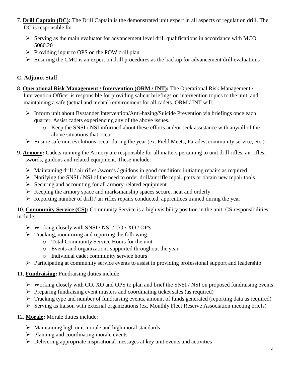- 7. **Drill Captain (DC):** The Drill Captain is the demonstrated unit expert in all aspects of regulation drill. The DC is responsible for:
	- $\triangleright$  Serving as the main evaluator for advancement level drill qualifications in accordance with MCO 5060.20
	- $\triangleright$  Providing input to OPS on the POW drill plan
	- $\triangleright$  Ensuring the CMC is an expert on drill procedures as the backup for advancement drill evaluations

## **C. Adjunct Staff**

- 8. **Operational Risk Management / Intervention (ORM / INT):** The Operational Risk Management / Intervention Officer is responsible for providing salient briefings on intervention topics to the unit, and maintaining a safe (actual and mental) environment for all cadets. ORM / INT will:
	- $\triangleright$  Inform unit about Bystander Intervention/Anti-hazing/Suicide Prevention via briefings once each quarter. Assist cadets experiencing any of the above issues.
		- o Keep the SNSI / NSI informed about these efforts and/or seek assistance with any/all of the above situations that occur
	- $\triangleright$  Ensure safe unit evolutions occur during the year (ex. Field Meets, Parades, community service, etc.)
- 9. **Armory:** Cadets running the Armory are responsible for all matters pertaining to unit drill rifles, air rifles, swords, guidons and related equipment. These include:
	- $\triangleright$  Maintaining drill / air rifles /swords / guidons in good condition; initiating repairs as required
	- $\triangleright$  Notifying the SNSI / NSI of the need to order drill/air rifle repair parts or obtain new repair tools
	- $\triangleright$  Securing and accounting for all armory-related equipment
	- $\triangleright$  Keeping the armory space and marksmanship spaces secure, neat and orderly
	- $\triangleright$  Reporting number of drill / air rifles repairs conducted, apprentices trained during the year

10. **Community Service (CS):** Community Service is a high visibility position in the unit. CS responsibilities include:

- $\triangleright$  Working closely with SNSI / NSI / CO / XO / OPS
- $\triangleright$  Tracking, monitoring and reporting the following:
	- o Total Community Service Hours for the unit
	- o Events and organizations supported throughout the year
	- o Individual cadet community service hours
- $\triangleright$  Participating at community service events to assist in providing professional support and leadership

## 11. **Fundraising:** Fundraising duties include:

- $\triangleright$  Working closely with CO, XO and OPS to plan and brief the SNSI / NSI on proposed fundraising events
- $\triangleright$  Preparing fundraising event musters and coordinating ticket sales (as required)
- Tracking type and number of fundraising events, amount of funds generated (reporting data as required)
- $\triangleright$  Serving as liaison with external organizations (ex. Monthly Fleet Reserve Association meeting briefs)
- 12. **Morale:** Morale duties include:
	- $\triangleright$  Maintaining high unit morale and high moral standards
	- $\triangleright$  Planning and coordinating morale events
	- $\triangleright$  Delivering appropriate inspirational messages at key unit events and activities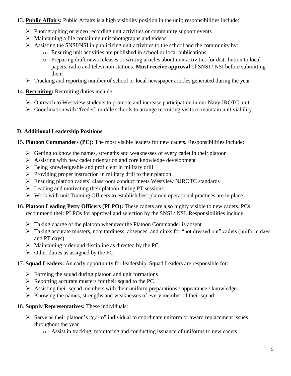## 13. **Public Affairs:** Public Affairs is a high visibility position in the unit; responsibilities include:

- $\triangleright$  Photographing or video recording unit activities or community support events
- $\triangleright$  Maintaining a file containing unit photographs and videos
- $\triangleright$  Assisting the SNSI/NSI in publicizing unit activities to the school and the community by:
	- o Ensuring unit activities are published in school or local publications
	- o Preparing draft news releases or writing articles about unit activities for distribution to local papers, radio and television stations. **Must receive approval** of SNSI / NSI before submitting them
- $\triangleright$  Tracking and reporting number of school or local newspaper articles generated during the year
- 14. **Recruiting:** Recruiting duties include:
	- $\triangleright$  Outreach to Westview students to promote and increase participation in our Navy JROTC unit
	- $\triangleright$  Coordination with "feeder" middle schools to arrange recruiting visits to maintain unit viability

## **D. Additional Leadership Positions**

#### 15. **Platoon Commander**s **(PC):** The most visible leaders for new cadets. Responsibilities include:

- $\triangleright$  Getting to know the names, strengths and weaknesses of every cadet in their platoon
- Assisting with new cadet orientation and core knowledge development
- $\triangleright$  Being knowledgeable and proficient in military drill
- $\triangleright$  Providing proper instruction in military drill to their platoon
- Ensuring platoon cadets' classroom conduct meets Westview NJROTC standards
- $\triangleright$  Leading and motivating their platoon during PT sessions
- $\triangleright$  Work with unit Training Officers to establish best platoon operational practices are in place
- 16. **Platoon Leading Petty Officers (PLPO):** These cadets are also highly visible to new cadets. PCs recommend their PLPOs for approval and selection by the SNSI / NSI. Responsibilities include:
	- $\triangleright$  Taking charge of the platoon whenever the Platoon Commander is absent
	- Taking accurate musters, note tardiness, absences, and dinks for "not dressed out" cadets (uniform days and PT days)
	- $\triangleright$  Maintaining order and discipline as directed by the PC
	- $\triangleright$  Other duties as assigned by the PC
- 17. **Squad Leaders:** An early opportunity for leadership. Squad Leaders are responsible for:
	- $\triangleright$  Forming the squad during platoon and unit formations
	- $\triangleright$  Reporting accurate musters for their squad to the PC
	- $\triangleright$  Assisting their squad members with their uniform preparations / appearance / knowledge
	- $\triangleright$  Knowing the names, strengths and weaknesses of every member of their squad
- 18. **Supply Representatives:** These individuals:
	- $\triangleright$  Serve as their platoon's "go-to" individual to coordinate uniform or award replacement issues throughout the year
		- o Assist in tracking, monitoring and conducting issuance of uniforms to new cadets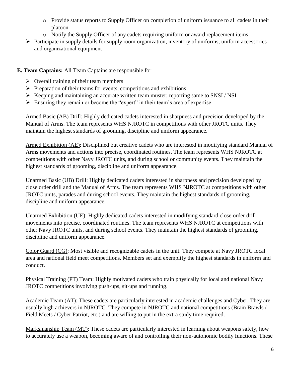- o Provide status reports to Supply Officer on completion of uniform issuance to all cadets in their platoon
- o Notify the Supply Officer of any cadets requiring uniform or award replacement items
- $\triangleright$  Participate in supply details for supply room organization, inventory of uniforms, uniform accessories and organizational equipment

## **E. Team Captains:** All Team Captains are responsible for:

- $\triangleright$  Overall training of their team members
- $\triangleright$  Preparation of their teams for events, competitions and exhibitions
- $\triangleright$  Keeping and maintaining an accurate written team muster; reporting same to SNSI / NSI
- $\triangleright$  Ensuring they remain or become the "expert" in their team's area of expertise

Armed Basic (AB) Drill: Highly dedicated cadets interested in sharpness and precision developed by the Manual of Arms. The team represents WHS NJROTC in competitions with other JROTC units. They maintain the highest standards of grooming, discipline and uniform appearance.

Armed Exhibition (AE): Disciplined but creative cadets who are interested in modifying standard Manual of Arms movements and actions into precise, coordinated routines. The team represents WHS NJROTC at competitions with other Navy JROTC units, and during school or community events. They maintain the highest standards of grooming, discipline and uniform appearance.

Unarmed Basic (UB) Drill: Highly dedicated cadets interested in sharpness and precision developed by close order drill and the Manual of Arms. The team represents WHS NJROTC at competitions with other JROTC units, parades and during school events. They maintain the highest standards of grooming, discipline and uniform appearance.

Unarmed Exhibition (UE): Highly dedicated cadets interested in modifying standard close order drill movements into precise, coordinated routines. The team represents WHS NJROTC at competitions with other Navy JROTC units, and during school events. They maintain the highest standards of grooming, discipline and uniform appearance.

Color Guard (CG): Most visible and recognizable cadets in the unit. They compete at Navy JROTC local area and national field meet competitions. Members set and exemplify the highest standards in uniform and conduct.

Physical Training (PT) Team: Highly motivated cadets who train physically for local and national Navy JROTC competitions involving push-ups, sit-ups and running.

Academic Team (AT): These cadets are particularly interested in academic challenges and Cyber. They are usually high achievers in NJROTC. They compete in NJROTC and national competitions (Brain Brawls / Field Meets / Cyber Patriot, etc.) and are willing to put in the extra study time required.

Marksmanship Team (MT): These cadets are particularly interested in learning about weapons safety, how to accurately use a weapon, becoming aware of and controlling their non-autonomic bodily functions. These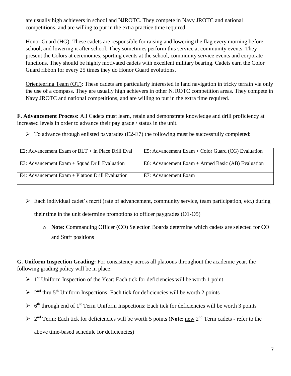are usually high achievers in school and NJROTC. They compete in Navy JROTC and national competitions, and are willing to put in the extra practice time required.

Honor Guard (HG): These cadets are responsible for raising and lowering the flag every morning before school, and lowering it after school. They sometimes perform this service at community events. They present the Colors at ceremonies, sporting events at the school, community service events and corporate functions. They should be highly motivated cadets with excellent military bearing. Cadets earn the Color Guard ribbon for every 25 times they do Honor Guard evolutions.

Orienteering Team (OT): These cadets are particularly interested in land navigation in tricky terrain via only the use of a compass. They are usually high achievers in other NJROTC competition areas. They compete in Navy JROTC and national competitions, and are willing to put in the extra time required.

**F. Advancement Process:** All Cadets must learn, retain and demonstrate knowledge and drill proficiency at increased levels in order to advance their pay grade / status in the unit.

 $\triangleright$  To advance through enlisted paygrades (E2-E7) the following must be successfully completed:

| E2: Advancement Exam or $BLT + In$ Place Drill Eval | E5: Advancement Exam + Color Guard (CG) Evaluation |
|-----------------------------------------------------|----------------------------------------------------|
| E3: Advancement $Exam + Squad Drill Evaluation$     | E6: Advancement Exam + Armed Basic (AB) Evaluation |
| E4: Advancement Exam + Platoon Drill Evaluation     | E7: Advancement Exam                               |

 Each individual cadet's merit (rate of advancement, community service, team participation, etc.) during their time in the unit determine promotions to officer paygrades (O1-O5)

o **Note:** Commanding Officer (CO) Selection Boards determine which cadets are selected for CO and Staff positions

**G. Uniform Inspection Grading:** For consistency across all platoons throughout the academic year, the following grading policy will be in place:

- $\triangleright$  1<sup>st</sup> Uniform Inspection of the Year: Each tick for deficiencies will be worth 1 point
- $\geq 2^{nd}$  thru 5<sup>th</sup> Uniform Inspections: Each tick for deficiencies will be worth 2 points
- $\triangleright$  6<sup>th</sup> through end of 1<sup>st</sup> Term Uniform Inspections: Each tick for deficiencies will be worth 3 points
- > 2<sup>nd</sup> Term: Each tick for deficiencies will be worth 5 points (Note: <u>new</u> 2<sup>nd</sup> Term cadets refer to the above time-based schedule for deficiencies)